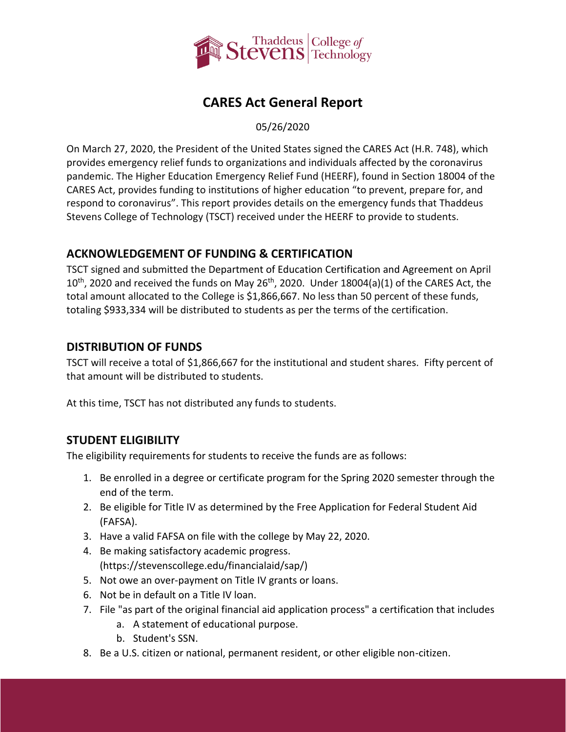

# **CARES Act General Report**

05/26/2020

On March 27, 2020, the President of the United States signed the CARES Act (H.R. 748), which provides emergency relief funds to organizations and individuals affected by the coronavirus pandemic. The Higher Education Emergency Relief Fund (HEERF), found in Section 18004 of the CARES Act, provides funding to institutions of higher education "to prevent, prepare for, and respond to coronavirus". This report provides details on the emergency funds that Thaddeus Stevens College of Technology (TSCT) received under the HEERF to provide to students.

## **ACKNOWLEDGEMENT OF FUNDING & CERTIFICATION**

TSCT signed and submitted the [Department of Education Certification and Agreement](https://www2.ed.gov/about/offices/list/ope/heerfstudentscertificationagreement42020.pdf) on April  $10^{th}$ , 2020 and received the funds on May 26<sup>th</sup>, 2020. Under 18004(a)(1) of the CARES Act, the total amount allocated to the College is \$1,866,667. No less than 50 percent of these funds, totaling \$933,334 will be distributed to students as per the terms of the certification.

## **DISTRIBUTION OF FUNDS**

TSCT will receive a total of \$1,866,667 for the institutional and student shares. Fifty percent of that amount will be distributed to students.

At this time, TSCT has not distributed any funds to students.

## **STUDENT ELIGIBILITY**

The eligibility requirements for students to receive the funds are as follows:

- 1. Be enrolled in a degree or certificate program for the Spring 2020 semester through the end of the term.
- 2. Be eligible for Title IV as determined by the Free Application for Federal Student Aid (FAFSA).
- 3. Have a valid FAFSA on file with the college by May 22, 2020.
- 4. Be making satisfactory academic progress. [\(https://stevenscollege.edu/financialaid/sap/\)](https://stevenscollege.edu/financialaid/sap/)
- 5. Not owe an over-payment on Title IV grants or loans.
- 6. Not be in default on a Title IV loan.
- 7. File "as part of the original financial aid application process" a certification that includes
	- a. A statement of educational purpose.
	- b. Student's SSN.
- 8. Be a U.S. citizen or national, permanent resident, or other eligible non-citizen.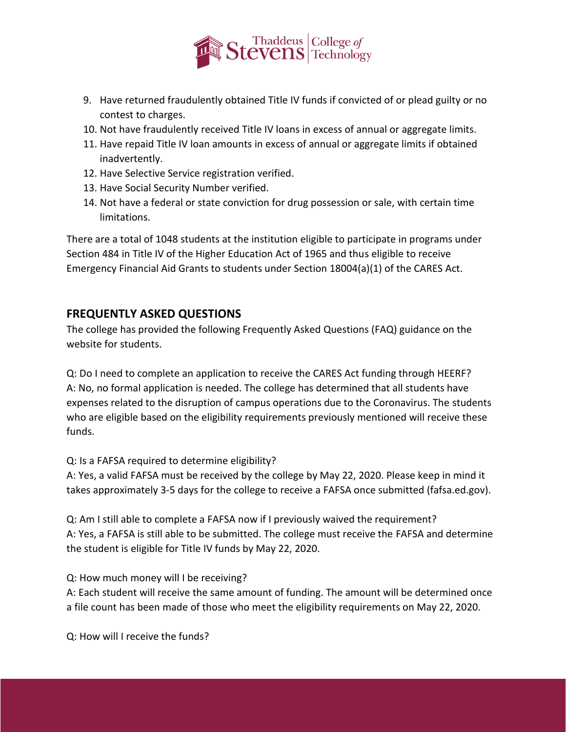

- 9. Have returned fraudulently obtained Title IV funds if convicted of or plead guilty or no contest to charges.
- 10. Not have fraudulently received Title IV loans in excess of annual or aggregate limits.
- 11. Have repaid Title IV loan amounts in excess of annual or aggregate limits if obtained inadvertently.
- 12. Have Selective Service registration verified.
- 13. Have Social Security Number verified.
- 14. Not have a federal or state conviction for drug possession or sale, with certain time limitations.

There are a total of 1048 students at the institution eligible to participate in programs under Section 484 in Title IV of the Higher Education Act of 1965 and thus eligible to receive Emergency Financial Aid Grants to students under Section 18004(a)(1) of the CARES Act.

#### **FREQUENTLY ASKED QUESTIONS**

The college has provided the following Frequently Asked Questions (FAQ) guidance on the website for students.

Q: Do I need to complete an application to receive the CARES Act funding through HEERF? A: No, no formal application is needed. The college has determined that all students have expenses related to the disruption of campus operations due to the Coronavirus. The students who are eligible based on the eligibility requirements previously mentioned will receive these funds.

Q: Is a FAFSA required to determine eligibility?

A: Yes, a valid FAFSA must be received by the college by May 22, 2020. Please keep in mind it takes approximately 3-5 days for the college to receive a FAFSA once submitted (fafsa.ed.gov).

Q: Am I still able to complete a FAFSA now if I previously waived the requirement? A: Yes, a FAFSA is still able to be submitted. The college must receive the FAFSA and determine the student is eligible for Title IV funds by May 22, 2020.

Q: How much money will I be receiving?

A: Each student will receive the same amount of funding. The amount will be determined once a file count has been made of those who meet the eligibility requirements on May 22, 2020.

Q: How will I receive the funds?